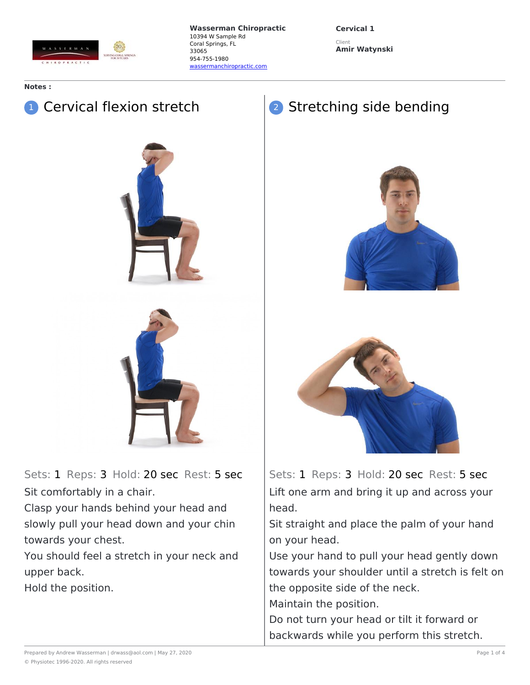

**Cervical 1** Client **Amir Watynski**

## **Notes :**

## **1** Cervical flexion stretch





Sets: 1 Reps: 3 Hold: 20 sec Rest: 5 sec Sit comfortably in a chair.

Clasp your hands behind your head and slowly pull your head down and your chin towards your chest.

You should feel a stretch in your neck and upper back.

Hold the position.

## 2 Stretching side bending





Sets: 1 Reps: 3 Hold: 20 sec Rest: 5 sec Lift one arm and bring it up and across your head.

Sit straight and place the palm of your hand on your head.

Use your hand to pull your head gently down towards your shoulder until a stretch is felt on the opposite side of the neck.

Maintain the position.

Do not turn your head or tilt it forward or backwards while you perform this stretch.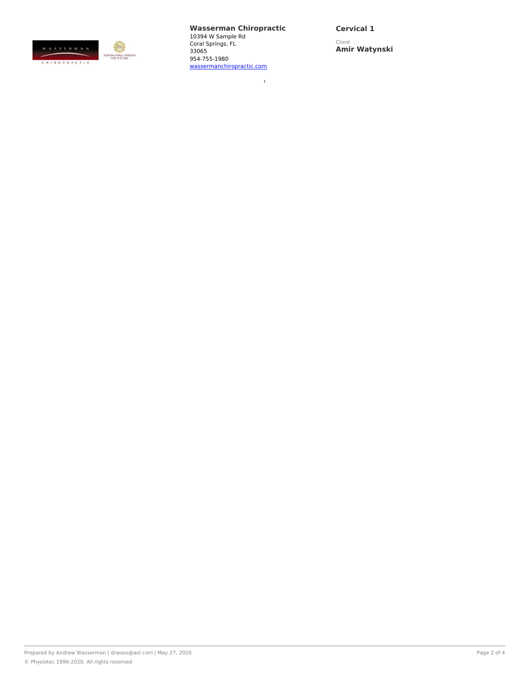

 $\bar{1}$ 

**Cervical 1**

Client **Amir Watynski**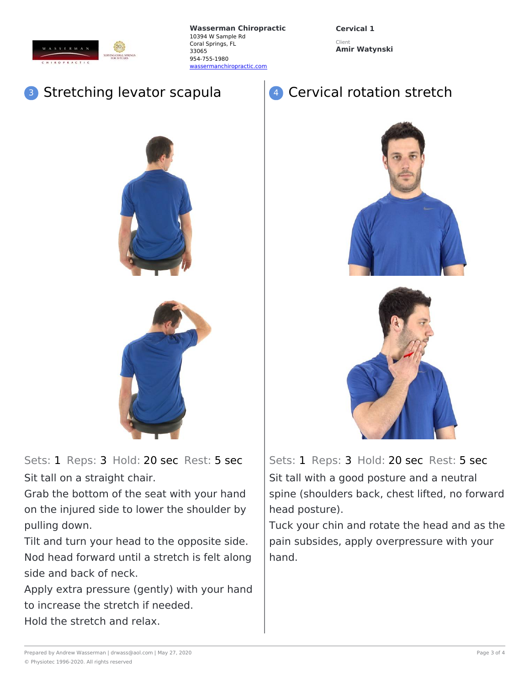

**Cervical 1** Client

**Amir Watynski**

## **Stretching levator scapula**





Sets: 1 Reps: 3 Hold: 20 sec Rest: 5 sec Sit tall on a straight chair.

Grab the bottom of the seat with your hand on the injured side to lower the shoulder by pulling down.

Tilt and turn your head to the opposite side. Nod head forward until a stretch is felt along side and back of neck.

Apply extra pressure (gently) with your hand to increase the stretch if needed. Hold the stretch and relax.





Sets: 1 Reps: 3 Hold: 20 sec Rest: 5 sec Sit tall with a good posture and a neutral spine (shoulders back, chest lifted, no forward head posture).

Tuck your chin and rotate the head and as the pain subsides, apply overpressure with your hand.